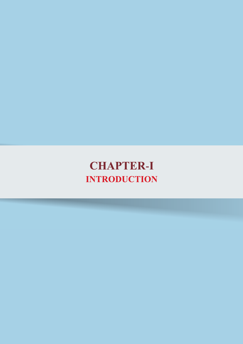# **CHAPTER-I INTRODUCTION**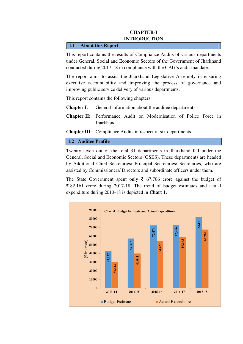## **CHAPTER-I INTRODUCTION**

#### **1.1 About this Report**

This report contains the results of Compliance Audits of various departments under General, Social and Economic Sectors of the Government of Jharkhand conducted during 2017-18 in compliance with the CAG's audit mandate.

The report aims to assist the Jharkhand Legislative Assembly in ensuring executive accountability and improving the process of governance and improving public service delivery of various departments.

This report contains the following chapters:

- **Chapter I:** General information about the auditee departments
- **Chapter-II**: Performance Audit on Modernisation of Police Force in **Jharkhand**

**Chapter III**: Compliance Audits in respect of six departments.

### **1.2 Auditee Profile**

Twenty-seven out of the total 31 departments in Jharkhand fall under the General, Social and Economic Sectors (GSES). These departments are headed by Additional Chief Secretaries/ Principal Secretaries/ Secretaries, who are assisted by Commissioners/ Directors and subordinate officers under them.

The State Government spent only  $\bar{\xi}$  67,706 crore against the budget of  $\bar{\xi}$  82,161 crore during 2017-18. The trend of budget estimates and actual expenditure during 2013-18 is depicted in **Chart 1.**

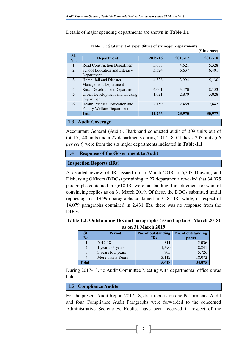Details of major spending departments are shown in **Table 1.1**

|                                      |                                                                   |         |         | $(\bar{\bar{\mathbf{x}}}$ in crore) |  |
|--------------------------------------|-------------------------------------------------------------------|---------|---------|-------------------------------------|--|
| SI.<br>No.                           | <b>Department</b>                                                 | 2015-16 | 2016-17 | 2017-18                             |  |
| 1                                    | Road Construction Department                                      | 3,633   | 4,521   | 5,328                               |  |
| $\overline{2}$                       | School Education and Literacy<br>Department                       | 5,524   | 6,637   | 6,491                               |  |
| 3                                    | Home, Jail and Disaster<br><b>Management Department</b>           | 4,328   | 3,994   | 5,130                               |  |
| $\overline{\mathbf{4}}$              | <b>Rural Development Department</b>                               | 4,001   | 3,470   | 8,153                               |  |
| 5                                    | Urban Development and Housing<br>Department                       | 1,621   | 2,879   | 3,028                               |  |
| 6                                    | Health, Medical Education and<br><b>Family Welfare Department</b> | 2,159   | 2,469   | 2,847                               |  |
|                                      | <b>Total</b>                                                      | 21,266  | 23,970  | 30,977                              |  |
| <b>Audit Coverage</b><br>$\vert$ 1.3 |                                                                   |         |         |                                     |  |

**Table 1.1: Statement of expenditure of six major departments**

Accountant General (Audit), Jharkhand conducted audit of 309 units out of total 7,140 units under 27 departments during 2017-18. Of these, 205 units (66

*per cent*) were from the six major departments indicated in **Table-1.1**.

```
1.4 Response of the Government to Audit
```

```
Inspection Reports (IRs)
```
A detailed review of IRs issued up to March 2018 to 6,307 Drawing and Disbursing Officers (DDOs) pertaining to 27 departments revealed that 34,075 paragraphs contained in 5,618 IRs were outstanding for settlement for want of convincing replies as on 31 March 2019. Of these, the DDOs submitted initial replies against 19,996 paragraphs contained in 3,187 IRs while, in respect of 14,079 paragraphs contained in 2,431 IRs, there was no response from the DDOs.

| Table 1.2: Outstanding IRs and paragraphs (issued up to 31 March 2018) |  |
|------------------------------------------------------------------------|--|
| as on 31 March 2019                                                    |  |

| SL.          | <b>Period</b>      | No. of outstanding | No. of outstanding |
|--------------|--------------------|--------------------|--------------------|
| No.          |                    | <b>IRs</b>         | paras              |
|              | 2017-18            | 311                | 2,036              |
|              | year to 3 years    | 1,390              | 8,241              |
|              | 3 years to 5 years | 805                | 5,726              |
|              | More than 5 Years  | 3,112              | 18,072             |
| <b>Total</b> |                    | 5,618              | 34,075             |

During 2017-18, no Audit Committee Meeting with departmental officers was held.

## **1.5 Compliance Audits**

For the present Audit Report 2017-18, draft reports on one Performance Audit and four Compliance Audit Paragraphs were forwarded to the concerned Administrative Secretaries. Replies have been received in respect of the